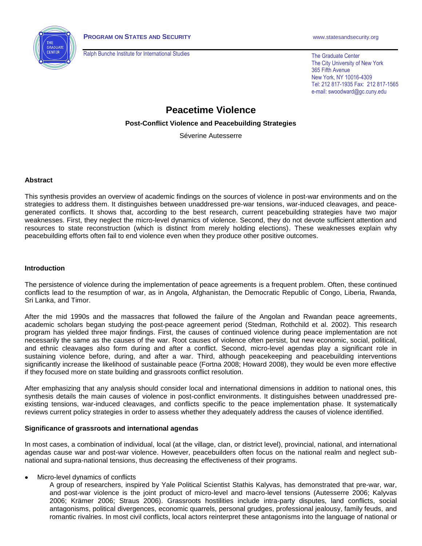

Ralph Bunche Institute for International Studies

The Graduate Center The City University of New York 365 Fifth Avenue New York, NY 10016-4309 Tel: 212 817-1935 Fax: 212 817-1565 e-mail: swoodward@gc.cuny.edu

# **Peacetime Violence**

### **Post-Conflict Violence and Peacebuilding Strategies**

Séverine Autesserre

#### **Abstract**

This synthesis provides an overview of academic findings on the sources of violence in post-war environments and on the strategies to address them. It distinguishes between unaddressed pre-war tensions, war-induced cleavages, and peacegenerated conflicts. It shows that, according to the best research, current peacebuilding strategies have two major weaknesses. First, they neglect the micro-level dynamics of violence. Second, they do not devote sufficient attention and resources to state reconstruction (which is distinct from merely holding elections). These weaknesses explain why peacebuilding efforts often fail to end violence even when they produce other positive outcomes.

#### **Introduction**

The persistence of violence during the implementation of peace agreements is a frequent problem. Often, these continued conflicts lead to the resumption of war, as in Angola, Afghanistan, the Democratic Republic of Congo, Liberia, Rwanda, Sri Lanka, and Timor.

After the mid 1990s and the massacres that followed the failure of the Angolan and Rwandan peace agreements, academic scholars began studying the post-peace agreement period (Stedman, Rothchild et al. 2002). This research program has yielded three major findings. First, the causes of continued violence during peace implementation are not necessarily the same as the causes of the war. Root causes of violence often persist, but new economic, social, political, and ethnic cleavages also form during and after a conflict. Second, micro-level agendas play a significant role in sustaining violence before, during, and after a war. Third, although peacekeeping and peacebuilding interventions significantly increase the likelihood of sustainable peace (Fortna 2008; Howard 2008), they would be even more effective if they focused more on state building and grassroots conflict resolution.

After emphasizing that any analysis should consider local and international dimensions in addition to national ones, this synthesis details the main causes of violence in post-conflict environments. It distinguishes between unaddressed preexisting tensions, war-induced cleavages, and conflicts specific to the peace implementation phase. It systematically reviews current policy strategies in order to assess whether they adequately address the causes of violence identified.

# **Significance of grassroots and international agendas**

In most cases, a combination of individual, local (at the village, clan, or district level), provincial, national, and international agendas cause war and post-war violence. However, peacebuilders often focus on the national realm and neglect subnational and supra-national tensions, thus decreasing the effectiveness of their programs.

Micro-level dynamics of conflicts

A group of researchers, inspired by Yale Political Scientist Stathis Kalyvas, has demonstrated that pre-war, war, and post-war violence is the joint product of micro-level and macro-level tensions (Autesserre 2006; Kalyvas 2006; Krämer 2006; Straus 2006). Grassroots hostilities include intra-party disputes, land conflicts, social antagonisms, political divergences, economic quarrels, personal grudges, professional jealousy, family feuds, and romantic rivalries. In most civil conflicts, local actors reinterpret these antagonisms into the language of national or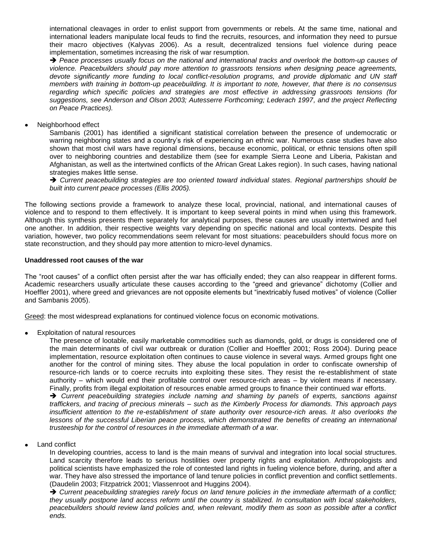international cleavages in order to enlist support from governments or rebels. At the same time, national and international leaders manipulate local feuds to find the recruits, resources, and information they need to pursue their macro objectives (Kalyvas 2006). As a result, decentralized tensions fuel violence during peace implementation, sometimes increasing the risk of war resumption.

 *Peace processes usually focus on the national and international tracks and overlook the bottom-up causes of violence. Peacebuilders should pay more attention to grassroots tensions when designing peace agreements, devote significantly more funding to local conflict-resolution programs, and provide diplomatic and UN staff members with training in bottom-up peacebuilding. It is important to note, however, that there is no consensus regarding which specific policies and strategies are most effective in addressing grassroots tensions (for suggestions, see Anderson and Olson 2003; Autesserre Forthcoming; Lederach 1997, and the project Reflecting on Peace Practices).*

Neighborhood effect

Sambanis (2001) has identified a significant statistical correlation between the presence of undemocratic or warring neighboring states and a country's risk of experiencing an ethnic war. Numerous case studies have also shown that most civil wars have regional dimensions, because economic, political, or ethnic tensions often spill over to neighboring countries and destabilize them (see for example Sierra Leone and Liberia, Pakistan and Afghanistan, as well as the intertwined conflicts of the African Great Lakes region). In such cases, having national strategies makes little sense.

→ Current peacebuilding strategies are too oriented toward individual states. Regional partnerships should be *built into current peace processes (Ellis 2005).*

The following sections provide a framework to analyze these local, provincial, national, and international causes of violence and to respond to them effectively. It is important to keep several points in mind when using this framework. Although this synthesis presents them separately for analytical purposes, these causes are usually intertwined and fuel one another. In addition, their respective weights vary depending on specific national and local contexts. Despite this variation, however, two policy recommendations seem relevant for most situations: peacebuilders should focus more on state reconstruction, and they should pay more attention to micro-level dynamics.

# **Unaddressed root causes of the war**

The "root causes" of a conflict often persist after the war has officially ended; they can also reappear in different forms. Academic researchers usually articulate these causes according to the "greed and grievance" dichotomy (Collier and Hoeffler 2001), where greed and grievances are not opposite elements but "inextricably fused motives" of violence (Collier and Sambanis 2005).

Greed: the most widespread explanations for continued violence focus on economic motivations.

Exploitation of natural resources

The presence of lootable, easily marketable commodities such as diamonds, gold, or drugs is considered one of the main determinants of civil war outbreak or duration (Collier and Hoeffler 2001; Ross 2004). During peace implementation, resource exploitation often continues to cause violence in several ways. Armed groups fight one another for the control of mining sites. They abuse the local population in order to confiscate ownership of resource-rich lands or to coerce recruits into exploiting these sites. They resist the re-establishment of state authority – which would end their profitable control over resource-rich areas – by violent means if necessary. Finally, profits from illegal exploitation of resources enable armed groups to finance their continued war efforts.

 *Current peacebuilding strategies include naming and shaming by panels of experts, sanctions against traffickers, and tracing of precious minerals – such as the Kimberly Process for diamonds. This approach pays*  insufficient attention to the re-establishment of state authority over resource-rich areas. It also overlooks the *lessons of the successful Liberian peace process, which demonstrated the benefits of creating an international trusteeship for the control of resources in the immediate aftermath of a war.*

Land conflict

In developing countries, access to land is the main means of survival and integration into local social structures. Land scarcity therefore leads to serious hostilities over property rights and exploitation. Anthropologists and political scientists have emphasized the role of contested land rights in fueling violence before, during, and after a war. They have also stressed the importance of land tenure policies in conflict prevention and conflict settlements. (Daudelin 2003; Fitzpatrick 2001; Vlassenroot and Huggins 2004).

→ Current peacebuilding strategies rarely focus on land tenure policies in the immediate aftermath of a conflict; *they usually postpone land access reform until the country is stabilized. In consultation with local stakeholders, peacebuilders should review land policies and, when relevant, modify them as soon as possible after a conflict ends.*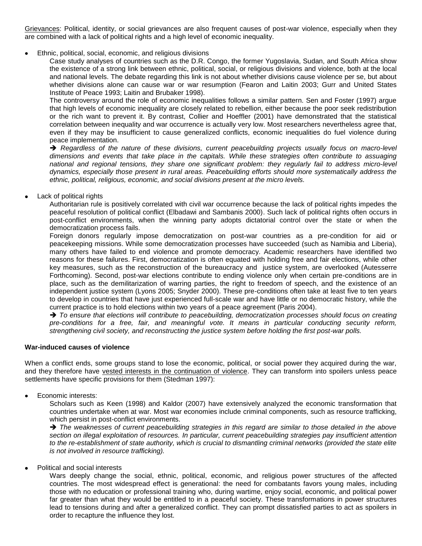Grievances: Political, identity, or social grievances are also frequent causes of post-war violence, especially when they are combined with a lack of political rights and a high level of economic inequality.

Ethnic, political, social, economic, and religious divisions

Case study analyses of countries such as the D.R. Congo, the former Yugoslavia, Sudan, and South Africa show the existence of a strong link between ethnic, political, social, or religious divisions and violence, both at the local and national levels. The debate regarding this link is not about whether divisions cause violence per se, but about whether divisions alone can cause war or war resumption (Fearon and Laitin 2003; Gurr and United States Institute of Peace 1993; Laitin and Brubaker 1998).

The controversy around the role of economic inequalities follows a similar pattern. Sen and Foster (1997) argue that high levels of economic inequality are closely related to rebellion, either because the poor seek redistribution or the rich want to prevent it. By contrast, Collier and Hoeffler (2001) have demonstrated that the statistical correlation between inequality and war occurrence is actually very low. Most researchers nevertheless agree that, even if they may be insufficient to cause generalized conflicts, economic inequalities do fuel violence during peace implementation.

 *Regardless of the nature of these divisions, current peacebuilding projects usually focus on macro-level dimensions and events that take place in the capitals. While these strategies often contribute to assuaging national and regional tensions, they share one significant problem: they regularly fail to address micro-level dynamics, especially those present in rural areas. Peacebuilding efforts should more systematically address the ethnic, political, religious, economic, and social divisions present at the micro levels.*

Lack of political rights

Authoritarian rule is positively correlated with civil war occurrence because the lack of political rights impedes the peaceful resolution of political conflict (Elbadawi and Sambanis 2000). Such lack of political rights often occurs in post-conflict environments, when the winning party adopts dictatorial control over the state or when the democratization process fails.

Foreign donors regularly impose democratization on post-war countries as a pre-condition for aid or peacekeeping missions. While some democratization processes have succeeded (such as Namibia and Liberia), many others have failed to end violence and promote democracy. Academic researchers have identified two reasons for these failures. First, democratization is often equated with holding free and fair elections, while other key measures, such as the reconstruction of the bureaucracy and justice system, are overlooked (Autesserre Forthcoming). Second, post-war elections contribute to ending violence only when certain pre-conditions are in place, such as the demilitarization of warring parties, the right to freedom of speech, and the existence of an independent justice system (Lyons 2005; Snyder 2000). These pre-conditions often take at least five to ten years to develop in countries that have just experienced full-scale war and have little or no democratic history, while the current practice is to hold elections within two years of a peace agreement (Paris 2004).

→ To ensure that elections will contribute to peacebuilding, democratization processes should focus on creating *pre-conditions for a free, fair, and meaningful vote. It means in particular conducting security reform, strengthening civil society, and reconstructing the justice system before holding the first post-war polls.*

# **War-induced causes of violence**

When a conflict ends, some groups stand to lose the economic, political, or social power they acquired during the war, and they therefore have vested interests in the continuation of violence. They can transform into spoilers unless peace settlements have specific provisions for them (Stedman 1997):

Economic interests:

Scholars such as Keen (1998) and Kaldor (2007) have extensively analyzed the economic transformation that countries undertake when at war. Most war economies include criminal components, such as resource trafficking, which persist in post-conflict environments.

→ The weaknesses of current peacebuilding strategies in this regard are similar to those detailed in the above *section on illegal exploitation of resources. In particular, current peacebuilding strategies pay insufficient attention*  to the re-establishment of state authority, which is crucial to dismantling criminal networks (provided the state elite *is not involved in resource trafficking).* 

Political and social interests

Wars deeply change the social, ethnic, political, economic, and religious power structures of the affected countries. The most widespread effect is generational: the need for combatants favors young males, including those with no education or professional training who, during wartime, enjoy social, economic, and political power far greater than what they would be entitled to in a peaceful society. These transformations in power structures lead to tensions during and after a generalized conflict. They can prompt dissatisfied parties to act as spoilers in order to recapture the influence they lost.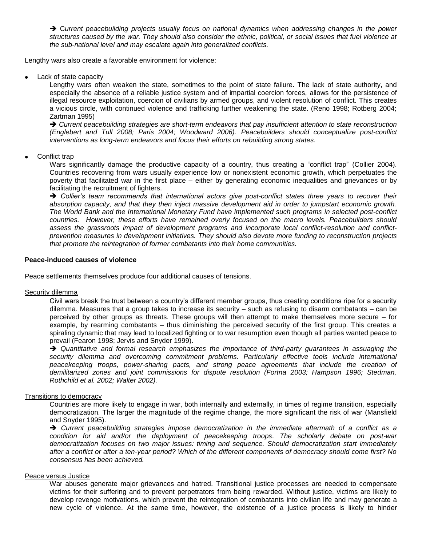C*urrent peacebuilding projects usually focus on national dynamics when addressing changes in the power structures caused by the war. They should also consider the ethnic, political, or social issues that fuel violence at the sub-national level and may escalate again into generalized conflicts.* 

Lengthy wars also create a favorable environment for violence:

Lack of state capacity

Lengthy wars often weaken the state, sometimes to the point of state failure. The lack of state authority, and especially the absence of a reliable justice system and of impartial coercion forces, allows for the persistence of illegal resource exploitation, coercion of civilians by armed groups, and violent resolution of conflict. This creates a vicious circle, with continued violence and trafficking further weakening the state. (Reno 1998; Rotberg 2004; Zartman 1995)

→ Current peacebuilding strategies are short-term endeavors that pay insufficient attention to state reconstruction *(Englebert and Tull 2008; Paris 2004; Woodward 2006). Peacebuilders should conceptualize post-conflict interventions as long-term endeavors and focus their efforts on rebuilding strong states.* 

#### Conflict trap

Wars significantly damage the productive capacity of a country, thus creating a "conflict trap" (Collier 2004). Countries recovering from wars usually experience low or nonexistent economic growth, which perpetuates the poverty that facilitated war in the first place – either by generating economic inequalities and grievances or by facilitating the recruitment of fighters.

→ Collier's team recommends that international actors give post-conflict states three years to recover their *absorption capacity, and that they then inject massive development aid in order to jumpstart economic growth. The World Bank and the International Monetary Fund have implemented such programs in selected post-conflict countries. However, these efforts have remained overly focused on the macro levels. Peacebuilders should assess the grassroots impact of development programs and incorporate local conflict-resolution and conflictprevention measures in development initiatives. They should also devote more funding to reconstruction projects that promote the reintegration of former combatants into their home communities.* 

#### **Peace-induced causes of violence**

Peace settlements themselves produce four additional causes of tensions.

# Security dilemma

Civil wars break the trust between a country's different member groups, thus creating conditions ripe for a security dilemma. Measures that a group takes to increase its security – such as refusing to disarm combatants – can be perceived by other groups as threats. These groups will then attempt to make themselves more secure – for example, by rearming combatants – thus diminishing the perceived security of the first group. This creates a spiraling dynamic that may lead to localized fighting or to war resumption even though all parties wanted peace to prevail (Fearon 1998; Jervis and Snyder 1999).

 *Quantitative and formal research emphasizes the importance of third-party guarantees in assuaging the security dilemma and overcoming commitment problems. Particularly effective tools include international peacekeeping troops, power-sharing pacts, and strong peace agreements that include the creation of demilitarized zones and joint commissions for dispute resolution (Fortna 2003; Hampson 1996; Stedman, Rothchild et al. 2002; Walter 2002).*

#### Transitions to democracy

Countries are more likely to engage in war, both internally and externally, in times of regime transition, especially democratization. The larger the magnitude of the regime change, the more significant the risk of war (Mansfield and Snyder 1995).

 *Current peacebuilding strategies impose democratization in the immediate aftermath of a conflict as a condition for aid and/or the deployment of peacekeeping troops. The scholarly debate on post-war democratization focuses on two major issues: timing and sequence. Should democratization start immediately after a conflict or after a ten-year period? Which of the different components of democracy should come first? No consensus has been achieved.*

#### Peace versus Justice

War abuses generate major grievances and hatred. Transitional justice processes are needed to compensate victims for their suffering and to prevent perpetrators from being rewarded. Without justice, victims are likely to develop revenge motivations, which prevent the reintegration of combatants into civilian life and may generate a new cycle of violence. At the same time, however, the existence of a justice process is likely to hinder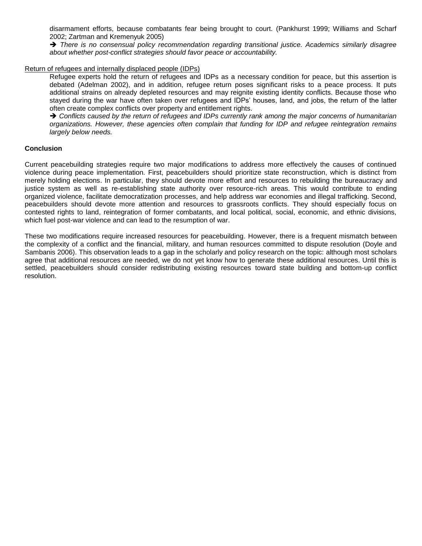disarmament efforts, because combatants fear being brought to court. (Pankhurst 1999; Williams and Scharf 2002; Zartman and Kremenyuk 2005)

→ There is no consensual policy recommendation regarding transitional justice. Academics similarly disagree *about whether post-conflict strategies should favor peace or accountability.*

#### Return of refugees and internally displaced people (IDPs)

Refugee experts hold the return of refugees and IDPs as a necessary condition for peace, but this assertion is debated (Adelman 2002), and in addition, refugee return poses significant risks to a peace process. It puts additional strains on already depleted resources and may reignite existing identity conflicts. Because those who stayed during the war have often taken over refugees and IDPs' houses, land, and jobs, the return of the latter often create complex conflicts over property and entitlement rights.

→ Conflicts caused by the return of refugees and IDPs currently rank among the major concerns of humanitarian *organizations. However, these agencies often complain that funding for IDP and refugee reintegration remains largely below needs.*

# **Conclusion**

Current peacebuilding strategies require two major modifications to address more effectively the causes of continued violence during peace implementation. First, peacebuilders should prioritize state reconstruction, which is distinct from merely holding elections. In particular, they should devote more effort and resources to rebuilding the bureaucracy and justice system as well as re-establishing state authority over resource-rich areas. This would contribute to ending organized violence, facilitate democratization processes, and help address war economies and illegal trafficking. Second, peacebuilders should devote more attention and resources to grassroots conflicts. They should especially focus on contested rights to land, reintegration of former combatants, and local political, social, economic, and ethnic divisions, which fuel post-war violence and can lead to the resumption of war.

These two modifications require increased resources for peacebuilding. However, there is a frequent mismatch between the complexity of a conflict and the financial, military, and human resources committed to dispute resolution (Doyle and Sambanis 2006). This observation leads to a gap in the scholarly and policy research on the topic: although most scholars agree that additional resources are needed, we do not yet know how to generate these additional resources. Until this is settled, peacebuilders should consider redistributing existing resources toward state building and bottom-up conflict resolution.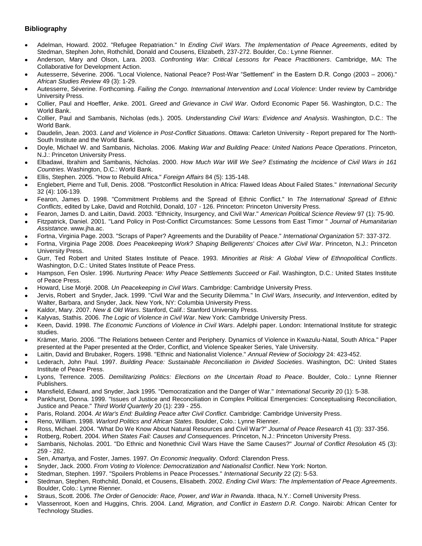# **Bibliography**

- Adelman, Howard. 2002. "Refugee Repatriation." In *Ending Civil Wars. The Implementation of Peace Agreements*, edited by Stedman, Stephen John, Rothchild, Donald and Cousens, Elizabeth, 237-272. Boulder, Co.: Lynne Rienner.
- Anderson, Mary and Olson, Lara. 2003. *Confronting War: Critical Lessons for Peace Practitioners*. Cambridge, MA: The Collaborative for Development Action.
- Autesserre, Séverine. 2006. "Local Violence, National Peace? Post-War "Settlement" in the Eastern D.R. Congo (2003 2006)." *African Studies Review* 49 (3): 1-29.
- Autesserre, Séverine. Forthcoming. *Failing the Congo. International Intervention and Local Violence*: Under review by Cambridge University Press.
- Collier, Paul and Hoeffler, Anke. 2001. *Greed and Grievance in Civil War*. Oxford Economic Paper 56. Washington, D.C.: The World Bank.
- Collier, Paul and Sambanis, Nicholas (eds.). 2005. *Understanding Civil Wars: Evidence and Analysis*. Washington, D.C.: The World Bank.
- Daudelin, Jean. 2003. *Land and Violence in Post-Conflict Situations*. Ottawa: Carleton University Report prepared for The North-South Institute and the World Bank.
- Doyle, Michael W. and Sambanis, Nicholas. 2006. *Making War and Building Peace: United Nations Peace Operations*. Princeton, N.J.: Princeton University Press.
- Elbadawi, Ibrahim and Sambanis, Nicholas. 2000. *How Much War Will We See? Estimating the Incidence of Civil Wars in 161 Countries*. Washington, D.C.: World Bank.
- Ellis, Stephen. 2005. "How to Rebuild Africa." *Foreign Affairs* 84 (5): 135-148.
- Englebert, Pierre and Tull, Denis. 2008. "Postconflict Resolution in Africa: Flawed Ideas About Failed States." *International Security* 32 (4): 106-139.
- Fearon, James D. 1998. "Commitment Problems and the Spread of Ethnic Conflict." In *The International Spread of Ethnic Conflicts*, edited by Lake, David and Rotchild, Donald, 107 - 126. Princeton: Princeton University Press.
- Fearon, James D. and Laitin, David. 2003. "Ethnicity, Insurgency, and Civil War." *American Political Science Review* 97 (1): 75-90.
- Fitzpatrick, Daniel. 2001. "Land Policy in Post-Conflict Circumstances: Some Lessons from East Timor " *Journal of Humanitarian Assistance*. www.jha.ac.
- Fortna, Virginia Page. 2003. "Scraps of Paper? Agreements and the Durability of Peace." *International Organization* 57: 337-372.
- Fortna, Virginia Page 2008. *Does Peacekeeping Work? Shaping Belligerents' Choices after Civil War*. Princeton, N.J.: Princeton University Press.
- Gurr, Ted Robert and United States Institute of Peace. 1993. *Minorities at Risk: A Global View of Ethnopolitical Conflicts*. Washington, D.C.: United States Institute of Peace Press.
- Hampson, Fen Osler. 1996. *Nurturing Peace: Why Peace Settlements Succeed or Fail*. Washington, D.C.: United States Institute of Peace Press.
- Howard, Lise Morjé. 2008. *Un Peacekeeping in Civil Wars*. Cambridge: Cambridge University Press.
- Jervis, Robert and Snyder, Jack. 1999. "Civil War and the Security Dilemma." In *Civil Wars, Insecurity, and Intervention*, edited by Walter, Barbara, and Snyder, Jack. New York, NY: Columbia University Press.
- Kaldor, Mary. 2007. *New & Old Wars*. Stanford, Calif.: Stanford University Press.
- Kalyvas, Stathis. 2006. *The Logic of Violence in Civil War*. New York: Cambridge University Press.
- Keen, David. 1998. *The Economic Functions of Violence in Civil Wars*. Adelphi paper. London: International Institute for strategic studies.
- Krämer, Mario. 2006. "The Relations between Center and Periphery. Dynamics of Violence in Kwazulu-Natal, South Africa." Paper presented at the Paper presented at the Order, Conflict, and Violence Speaker Series, Yale University.
- Laitin, David and Brubaker, Rogers. 1998. "Ethnic and Nationalist Violence." *Annual Review of Sociology* 24: 423-452.
- Lederach, John Paul. 1997. *Building Peace: Sustainable Reconciliation in Divided Societies*. Washington, DC: United States Institute of Peace Press.
- Lyons, Terrence. 2005. *Demilitarizing Politics: Elections on the Uncertain Road to Peace*. Boulder, Colo.: Lynne Rienner Publishers.
- Mansfield, Edward, and Snyder, Jack 1995. "Democratization and the Danger of War." *International Security* 20 (1): 5-38.
- Pankhurst, Donna. 1999. "Issues of Justice and Reconciliation in Complex Political Emergencies: Conceptualising Reconciliation, Justice and Peace." *Third World Quarterly* 20 (1): 239 - 255.
- Paris, Roland. 2004. *At War's End: Building Peace after Civil Conflict*. Cambridge: Cambridge University Press.
- Reno, William. 1998. *Warlord Politics and African States*. Boulder, Colo.: Lynne Rienner.
- Ross, Michael. 2004. "What Do We Know About Natural Resources and Civil War?" *Journal of Peace Research* 41 (3): 337-356.
- Rotberg, Robert. 2004. *When States Fail: Causes and Consequences*. Princeton, N.J.: Princeton University Press.
- Sambanis, Nicholas. 2001. "Do Ethnic and Nonethnic Civil Wars Have the Same Causes?" *Journal of Conflict Resolution* 45 (3): 259 - 282.
- Sen, Amartya, and Foster, James. 1997. *On Economic Inequality*. Oxford: Clarendon Press.
- Snyder, Jack. 2000. *From Voting to Violence: Democratization and Nationalist Conflict*. New York: Norton.
- Stedman, Stephen. 1997. "Spoilers Problems in Peace Processes." *International Security* 22 (2): 5-53.
- Stedman, Stephen, Rothchild, Donald, et Cousens, Elisabeth. 2002. *Ending Civil Wars: The Implementation of Peace Agreements*.  $\bullet$ Boulder, Colo.: Lynne Rienner.
- Straus, Scott. 2006. *The Order of Genocide: Race, Power, and War in Rwanda*. Ithaca, N.Y.: Cornell University Press.
- Vlassenroot, Koen and Huggins, Chris. 2004. *Land, Migration, and Conflict in Eastern D.R. Congo*. Nairobi: African Center for Technology Studies.